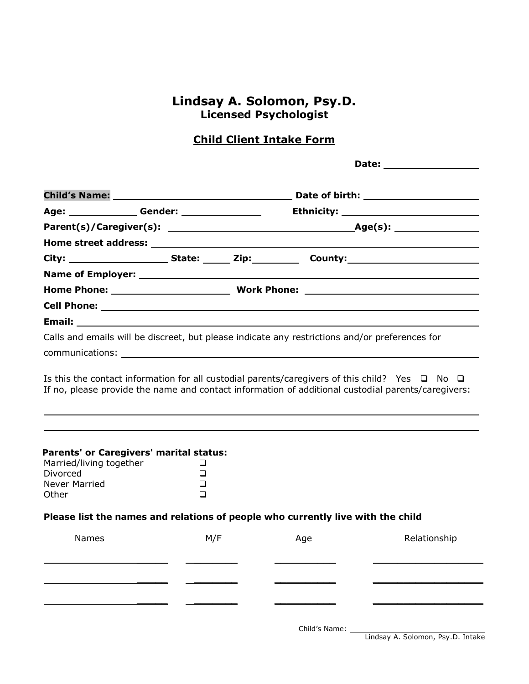## **Lindsay A. Solomon, Psy.D. Licensed Psychologist**

## **Child Client Intake Form**

**Date: Date: Date: Date: Date: Child's Name: Date of birth: Age: Gender: Ethnicity: Parent(s)/Caregiver(s): Age(s):**

|                                                                                                                                                                                                                |  |  | City: ________________________State: _______ Zip:_______________County:_____________________________ |  |
|----------------------------------------------------------------------------------------------------------------------------------------------------------------------------------------------------------------|--|--|------------------------------------------------------------------------------------------------------|--|
|                                                                                                                                                                                                                |  |  |                                                                                                      |  |
|                                                                                                                                                                                                                |  |  |                                                                                                      |  |
|                                                                                                                                                                                                                |  |  |                                                                                                      |  |
| Email: 2008 2009 2010 2021 2022 2023 2024 2022 2022 2023 2024 2022 2023 2024 2022 2023 2024 2022 2023 2024 20                                                                                                  |  |  |                                                                                                      |  |
|                                                                                                                                                                                                                |  |  | Calls and emails will be discreet, but please indicate any restrictions and/or preferences for       |  |
|                                                                                                                                                                                                                |  |  |                                                                                                      |  |
| Is this the contact information for all custodial parents/caregivers of this child? Yes $\Box$ No $\Box$<br>If no, please provide the name and contact information of additional custodial parents/caregivers: |  |  |                                                                                                      |  |
|                                                                                                                                                                                                                |  |  |                                                                                                      |  |
|                                                                                                                                                                                                                |  |  |                                                                                                      |  |

| Parents' or Caregivers' marital status: |  |
|-----------------------------------------|--|
| Marriad/living together                 |  |

| <u>Marrieu/IIVIIIu together</u> |          |
|---------------------------------|----------|
| Divorced                        | $\sqcup$ |
| Never Married                   | $\sqcup$ |
| Other                           | $\sqcup$ |

**Home street address:**

#### **Please list the names and relations of people who currently live with the child**

| <b>Names</b> | M/F | Age | Relationship                                                         |
|--------------|-----|-----|----------------------------------------------------------------------|
|              |     |     |                                                                      |
|              |     |     |                                                                      |
|              |     |     |                                                                      |
|              |     |     | Child's Name: The Child's Name:<br>Lindsay A. Solomon, Psy.D. Intake |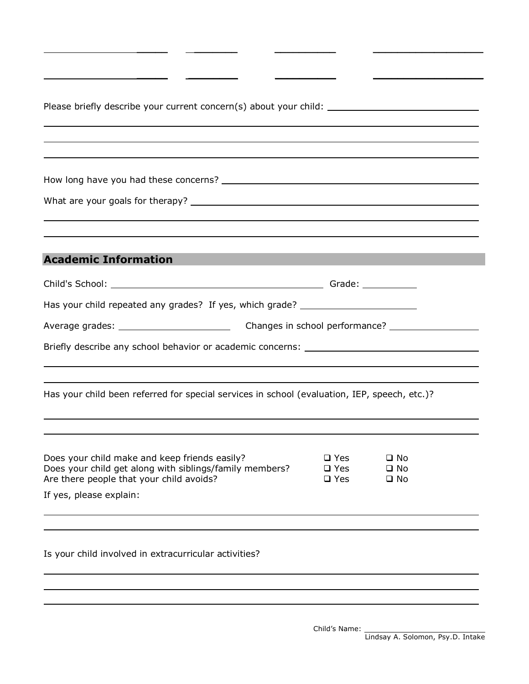| ,我们也不会有什么。""我们的人,我们也不会有什么?""我们的人,我们也不会有什么?""我们的人,我们也不会有什么?""我们的人,我们也不会有什么?""我们的人<br><b>Academic Information</b>                                                           |                                                                                                     |                              |  |
|---------------------------------------------------------------------------------------------------------------------------------------------------------------------------|-----------------------------------------------------------------------------------------------------|------------------------------|--|
|                                                                                                                                                                           |                                                                                                     |                              |  |
| Has your child repeated any grades? If yes, which grade? _______________________                                                                                          |                                                                                                     |                              |  |
|                                                                                                                                                                           | Average grades: _________________________________Changes in school performance? ___________________ |                              |  |
|                                                                                                                                                                           |                                                                                                     |                              |  |
| Has your child been referred for special services in school (evaluation, IEP, speech, etc.)?                                                                              |                                                                                                     |                              |  |
|                                                                                                                                                                           |                                                                                                     |                              |  |
| Does your child make and keep friends easily? $\Box$ Yes $\Box$ No<br>Does your child get along with siblings/family members?<br>Are there people that your child avoids? | $\square$ Yes<br>$\square$ Yes                                                                      | $\square$ No<br>$\square$ No |  |
| If yes, please explain:                                                                                                                                                   |                                                                                                     |                              |  |
| Is your child involved in extracurricular activities?                                                                                                                     |                                                                                                     |                              |  |
|                                                                                                                                                                           |                                                                                                     |                              |  |
|                                                                                                                                                                           |                                                                                                     |                              |  |

**\_\_\_\_\_ \_\_\_\_\_\_\_\_\_\_\_\_\_\_\_\_\_\_\_\_\_\_\_\_\_\_\_\_\_\_\_\_\_\_\_\_\_\_\_\_\_\_\_\_\_\_\_**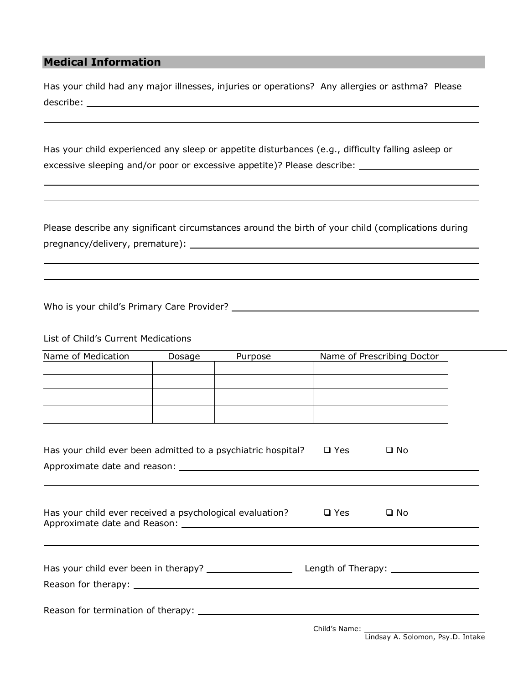### **Medical Information**

Has your child had any major illnesses, injuries or operations? Any allergies or asthma? Please describe:

Has your child experienced any sleep or appetite disturbances (e.g., difficulty falling asleep or excessive sleeping and/or poor or excessive appetite)? Please describe: \_\_\_\_\_\_\_\_\_\_\_\_\_\_\_\_\_\_\_\_\_\_\_\_\_\_\_\_

Please describe any significant circumstances around the birth of your child (complications during pregnancy/delivery, premature):

Who is your child's Primary Care Provider?

List of Child's Current Medications

| Name of Medication                                                                                                     | Dosage | Purpose |            | Name of Prescribing Doctor                                                                      |  |
|------------------------------------------------------------------------------------------------------------------------|--------|---------|------------|-------------------------------------------------------------------------------------------------|--|
| <u> 1989 - Johann John Stone, mars et al. 1989 - John Stone, mars et al. 1989 - John Stone, mars et al. 1989 - Joh</u> |        |         |            |                                                                                                 |  |
|                                                                                                                        |        |         |            |                                                                                                 |  |
|                                                                                                                        |        |         |            | the contract of the contract of the contract of the contract of the contract of the contract of |  |
|                                                                                                                        |        |         |            |                                                                                                 |  |
|                                                                                                                        |        |         |            |                                                                                                 |  |
|                                                                                                                        |        |         |            |                                                                                                 |  |
|                                                                                                                        |        |         |            |                                                                                                 |  |
| Has your child ever been admitted to a psychiatric hospital?                                                           |        |         | $\Box$ Yes | $\square$ No                                                                                    |  |
|                                                                                                                        |        |         |            |                                                                                                 |  |
|                                                                                                                        |        |         |            |                                                                                                 |  |
|                                                                                                                        |        |         |            |                                                                                                 |  |
|                                                                                                                        |        |         |            |                                                                                                 |  |
|                                                                                                                        |        |         |            | $\square$ No                                                                                    |  |
| Has your child ever received a psychological evaluation? $\Box$ Yes                                                    |        |         |            |                                                                                                 |  |
|                                                                                                                        |        |         |            |                                                                                                 |  |
|                                                                                                                        |        |         |            |                                                                                                 |  |
|                                                                                                                        |        |         |            |                                                                                                 |  |
|                                                                                                                        |        |         |            |                                                                                                 |  |
|                                                                                                                        |        |         |            |                                                                                                 |  |
|                                                                                                                        |        |         |            |                                                                                                 |  |
|                                                                                                                        |        |         |            |                                                                                                 |  |
|                                                                                                                        |        |         |            |                                                                                                 |  |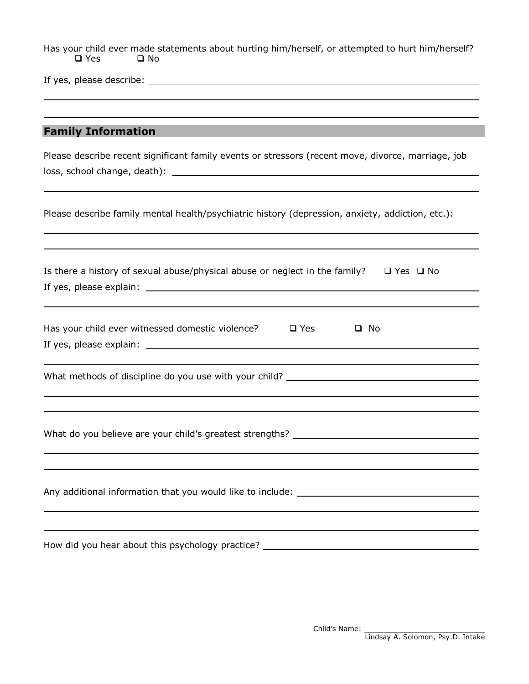Has your child ever made statements about hurting him/herself, or attempted to hurt him/herself?<br>  $\square$  Yes  $\square$  No  $\square$  Yes

If yes, please describe:

## **Family Information**

| Please describe recent significant family events or stressors (recent move, divorce, marriage, job     |
|--------------------------------------------------------------------------------------------------------|
| Please describe family mental health/psychiatric history (depression, anxiety, addiction, etc.):       |
| Is there a history of sexual abuse/physical abuse or neglect in the family? $\square$ Yes $\square$ No |
| Has your child ever witnessed domestic violence?<br>$\square$ Yes<br>$\square$ No                      |
| What methods of discipline do you use with your child? _________________________                       |
|                                                                                                        |
| Any additional information that you would like to include: ______________________                      |
| How did you hear about this psychology practice?                                                       |